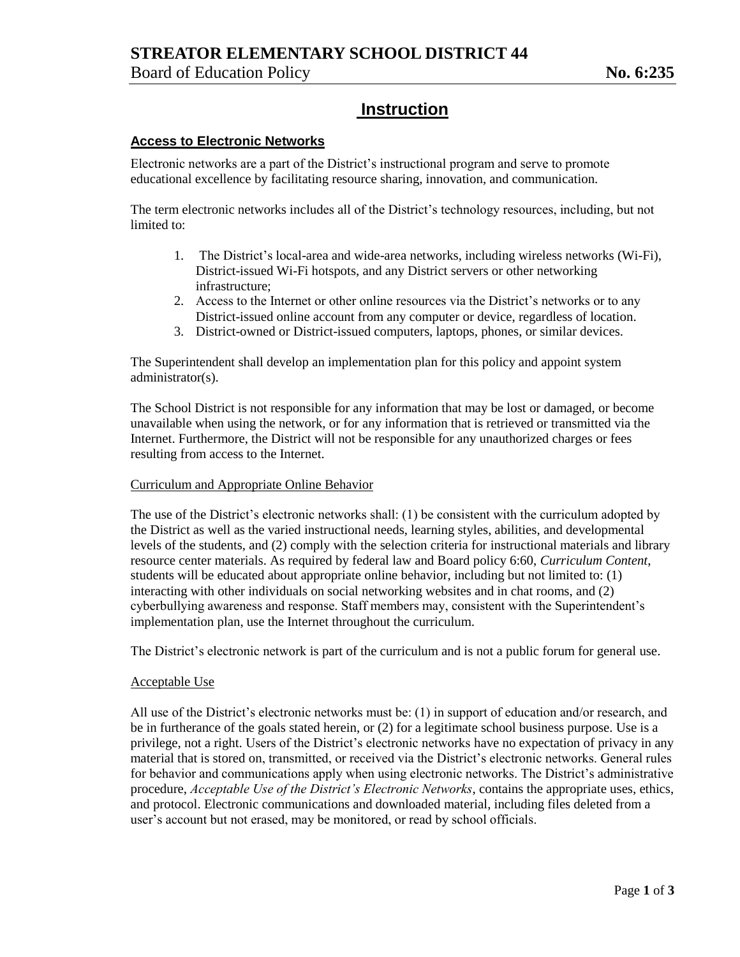# **STREATOR ELEMENTARY SCHOOL DISTRICT 44**

Board of Education Policy **No. 6:235** 

# **Instruction**

## **Access to Electronic Networks**

Electronic networks are a part of the District's instructional program and serve to promote educational excellence by facilitating resource sharing, innovation, and communication.

The term electronic networks includes all of the District's technology resources, including, but not limited to:

- 1. The District's local-area and wide-area networks, including wireless networks (Wi-Fi), District-issued Wi-Fi hotspots, and any District servers or other networking infrastructure;
- 2. Access to the Internet or other online resources via the District's networks or to any District-issued online account from any computer or device, regardless of location.
- 3. District-owned or District-issued computers, laptops, phones, or similar devices.

The Superintendent shall develop an implementation plan for this policy and appoint system administrator(s).

The School District is not responsible for any information that may be lost or damaged, or become unavailable when using the network, or for any information that is retrieved or transmitted via the Internet. Furthermore, the District will not be responsible for any unauthorized charges or fees resulting from access to the Internet.

## Curriculum and Appropriate Online Behavior

The use of the District's electronic networks shall: (1) be consistent with the curriculum adopted by the District as well as the varied instructional needs, learning styles, abilities, and developmental levels of the students, and (2) comply with the selection criteria for instructional materials and library resource center materials. As required by federal law and Board policy 6:60, *Curriculum Content*, students will be educated about appropriate online behavior, including but not limited to: (1) interacting with other individuals on social networking websites and in chat rooms, and (2) cyberbullying awareness and response. Staff members may, consistent with the Superintendent's implementation plan, use the Internet throughout the curriculum.

The District's electronic network is part of the curriculum and is not a public forum for general use.

## Acceptable Use

All use of the District's electronic networks must be: (1) in support of education and/or research, and be in furtherance of the goals stated herein, or (2) for a legitimate school business purpose. Use is a privilege, not a right. Users of the District's electronic networks have no expectation of privacy in any material that is stored on, transmitted, or received via the District's electronic networks. General rules for behavior and communications apply when using electronic networks. The District's administrative procedure, *Acceptable Use of the District's Electronic Networks*, contains the appropriate uses, ethics, and protocol. Electronic communications and downloaded material, including files deleted from a user's account but not erased, may be monitored, or read by school officials.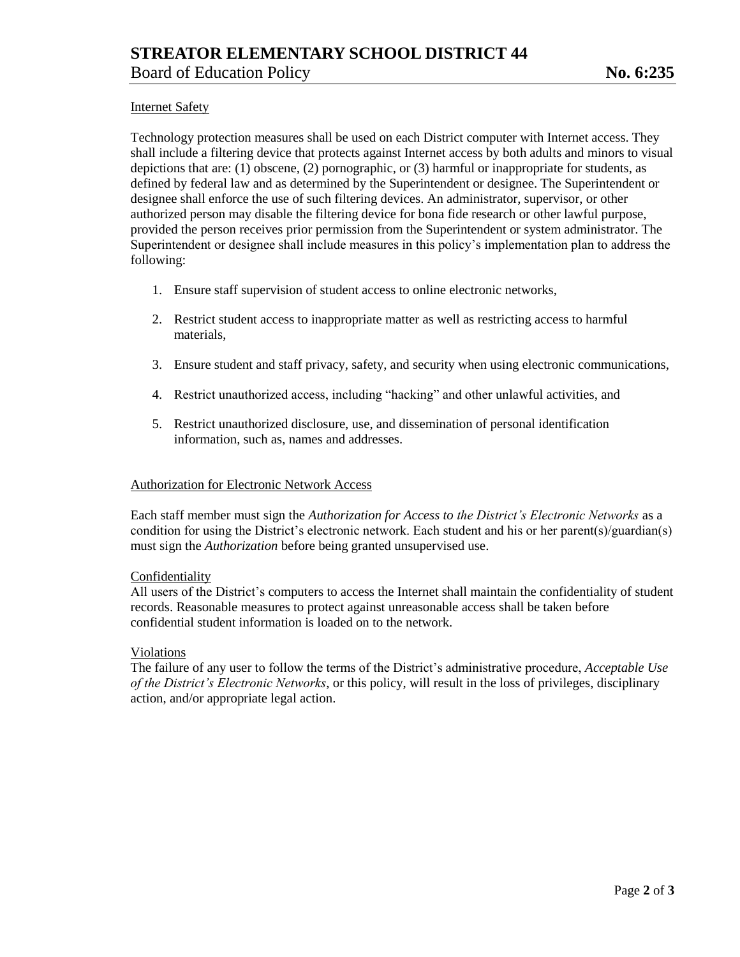## Internet Safety

Technology protection measures shall be used on each District computer with Internet access. They shall include a filtering device that protects against Internet access by both adults and minors to visual depictions that are: (1) obscene, (2) pornographic, or (3) harmful or inappropriate for students, as defined by federal law and as determined by the Superintendent or designee. The Superintendent or designee shall enforce the use of such filtering devices. An administrator, supervisor, or other authorized person may disable the filtering device for bona fide research or other lawful purpose, provided the person receives prior permission from the Superintendent or system administrator. The Superintendent or designee shall include measures in this policy's implementation plan to address the following:

- 1. Ensure staff supervision of student access to online electronic networks,
- 2. Restrict student access to inappropriate matter as well as restricting access to harmful materials,
- 3. Ensure student and staff privacy, safety, and security when using electronic communications,
- 4. Restrict unauthorized access, including "hacking" and other unlawful activities, and
- 5. Restrict unauthorized disclosure, use, and dissemination of personal identification information, such as, names and addresses.

#### Authorization for Electronic Network Access

Each staff member must sign the *Authorization for Access to the District's Electronic Networks* as a condition for using the District's electronic network. Each student and his or her parent(s)/guardian(s) must sign the *Authorization* before being granted unsupervised use.

#### Confidentiality

All users of the District's computers to access the Internet shall maintain the confidentiality of student records. Reasonable measures to protect against unreasonable access shall be taken before confidential student information is loaded on to the network.

#### Violations

The failure of any user to follow the terms of the District's administrative procedure, *Acceptable Use of the District's Electronic Networks*, or this policy, will result in the loss of privileges, disciplinary action, and/or appropriate legal action.